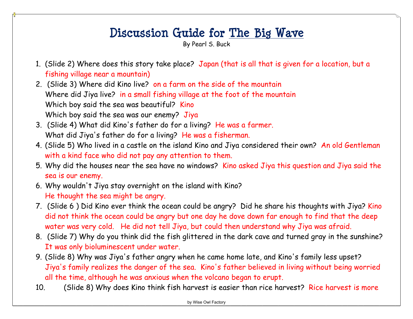## **Discussion Guide for The Big Wave**

By Pearl S. Buck

- 1. (Slide 2) Where does this story take place? Japan (that is all that is given for a location, but a fishing village near a mountain)
- 2. (Slide 3) Where did Kino live? on a farm on the side of the mountain Where did Jiya live? in a small fishing village at the foot of the mountain Which boy said the sea was beautiful? Kino Which boy said the sea was our enemy? Jiya
- 3. (Slide 4) What did Kino's father do for a living? He was a farmer. What did Jiya's father do for a living? He was a fisherman.
- 4. (Slide 5) Who lived in a castle on the island Kino and Jiya considered their own? An old Gentleman with a kind face who did not pay any attention to them.
- 5. Why did the houses near the sea have no windows? Kino asked Jiya this question and Jiya said the sea is our enemy.
- 6. Why wouldn't Jiya stay overnight on the island with Kino? He thought the sea might be angry.
- 7. (Slide 6 ) Did Kino ever think the ocean could be angry? Did he share his thoughts with Jiya? Kino did not think the ocean could be angry but one day he dove down far enough to find that the deep water was very cold. He did not tell Jiya, but could then understand why Jiya was afraid.
- 8. (Slide 7) Why do you think did the fish glittered in the dark cave and turned gray in the sunshine? It was only bioluminescent under water.
- 9. (Slide 8) Why was Jiya's father angry when he came home late, and Kino's family less upset? Jiya's family realizes the danger of the sea. Kino's father believed in living without being worried all the time, although he was anxious when the volcano began to erupt.
- 10. (Slide 8) Why does Kino think fish harvest is easier than rice harvest? Rice harvest is more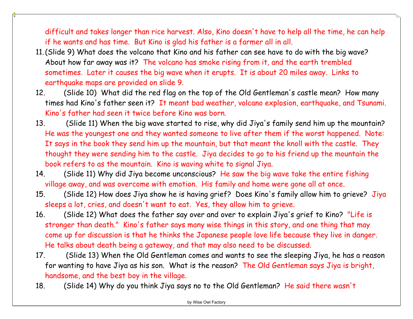difficult and takes longer than rice harvest. Also, Kino doesn't have to help all the time, he can help if he wants and has time. But Kino is glad his father is a farmer all in all.

- 11.(Slide 9) What does the volcano that Kino and his father can see have to do with the big wave? About how far away was it? The volcano has smoke rising from it, and the earth trembled sometimes. Later it causes the big wave when it erupts. It is about 20 miles away. Links to earthquake maps are provided on slide 9.
- 12. (Slide 10) What did the red flag on the top of the Old Gentleman's castle mean? How many times had Kino's father seen it? It meant bad weather, volcano explosion, earthquake, and Tsunami. Kino's father had seen it twice before Kino was born.
- 13. (Slide 11) When the big wave started to rise, why did Jiya's family send him up the mountain? He was the youngest one and they wanted someone to live after them if the worst happened. Note: It says in the book they send him up the mountain, but that meant the knoll with the castle. They thought they were sending him to the castle. Jiya decides to go to his friend up the mountain the book refers to as the mountain. Kino is waving white to signal Jiya.
- 14. (Slide 11) Why did Jiya become unconscious? He saw the big wave take the entire fishing village away, and was overcome with emotion. His family and home were gone all at once.
- 15. (Slide 12) How does Jiya show he is having grief? Does Kino's family allow him to grieve? Jiya sleeps a lot, cries, and doesn't want to eat. Yes, they allow him to grieve.
- 16. (Slide 12) What does the father say over and over to explain Jiya's grief to Kino? "Life is stronger than death." Kino's father says many wise things in this story, and one thing that may come up for discussion is that he thinks the Japanese people love life because they live in danger. He talks about death being a gateway, and that may also need to be discussed.
- 17. (Slide 13) When the Old Gentleman comes and wants to see the sleeping Jiya, he has a reason for wanting to have Jiya as his son. What is the reason? The Old Gentleman says Jiya is bright, handsome, and the best boy in the village.
- 18. (Slide 14) Why do you think Jiya says no to the Old Gentleman? He said there wasn't